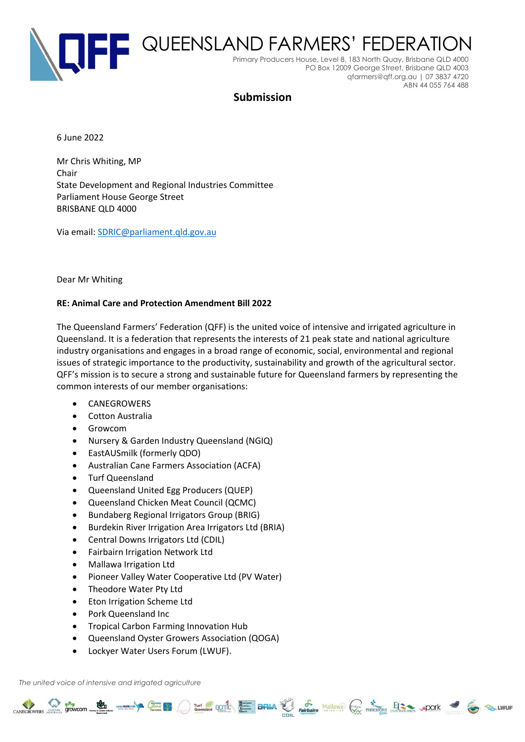

# **Submission**

6 June 2022

Mr Chris Whiting, MP Chair State Development and Regional Industries Committee Parliament House George Street BRISBANE QLD 4000

Via email: [SDRIC@parliament.qld.gov.au](mailto:SDRIC@parliament.qld.gov.au)

#### Dear Mr Whiting

#### **RE: Animal Care and Protection Amendment Bill 2022**

The Queensland Farmers' Federation (QFF) is the united voice of intensive and irrigated agriculture in Queensland. It is a federation that represents the interests of 21 peak state and national agriculture industry organisations and engages in a broad range of economic, social, environmental and regional issues of strategic importance to the productivity, sustainability and growth of the agricultural sector. QFF's mission is to secure a strong and sustainable future for Queensland farmers by representing the common interests of our member organisations:

CANEGROWERS STOWCOM COME TO THE RESERVE OF THE CANAL PROPERTY AND THE CANAL STOCK OF THE CANAL STOCK OF THE CONTRACTORS ... POOK 3

- CANEGROWERS
- Cotton Australia
- Growcom
- Nursery & Garden Industry Queensland (NGIQ)
- EastAUSmilk (formerly QDO)
- Australian Cane Farmers Association (ACFA)
- Turf Queensland
- Queensland United Egg Producers (QUEP)
- Queensland Chicken Meat Council (QCMC)
- Bundaberg Regional Irrigators Group (BRIG)
- Burdekin River Irrigation Area Irrigators Ltd (BRIA)
- Central Downs Irrigators Ltd (CDIL)
- Fairbairn Irrigation Network Ltd
- Mallawa Irrigation Ltd
- Pioneer Valley Water Cooperative Ltd (PV Water)
- Theodore Water Pty Ltd
- Eton Irrigation Scheme Ltd
- Pork Queensland Inc
- Tropical Carbon Farming Innovation Hub
- Queensland Oyster Growers Association (QOGA)
- Lockyer Water Users Forum (LWUF).

*The united voice of intensive and irrigated agriculture*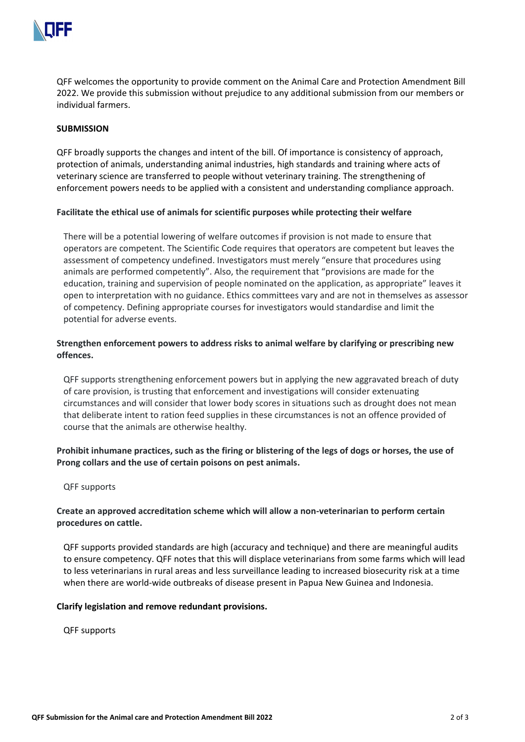

QFF welcomes the opportunity to provide comment on the Animal Care and Protection Amendment Bill 2022. We provide this submission without prejudice to any additional submission from our members or individual farmers.

### **SUBMISSION**

QFF broadly supports the changes and intent of the bill. Of importance is consistency of approach, protection of animals, understanding animal industries, high standards and training where acts of veterinary science are transferred to people without veterinary training. The strengthening of enforcement powers needs to be applied with a consistent and understanding compliance approach.

### **Facilitate the ethical use of animals for scientific purposes while protecting their welfare**

There will be a potential lowering of welfare outcomes if provision is not made to ensure that operators are competent. The Scientific Code requires that operators are competent but leaves the assessment of competency undefined. Investigators must merely "ensure that procedures using animals are performed competently". Also, the requirement that "provisions are made for the education, training and supervision of people nominated on the application, as appropriate" leaves it open to interpretation with no guidance. Ethics committees vary and are not in themselves as assessor of competency. Defining appropriate courses for investigators would standardise and limit the potential for adverse events.

# **Strengthen enforcement powers to address risks to animal welfare by clarifying or prescribing new offences.**

QFF supports strengthening enforcement powers but in applying the new aggravated breach of duty of care provision, is trusting that enforcement and investigations will consider extenuating circumstances and will consider that lower body scores in situations such as drought does not mean that deliberate intent to ration feed supplies in these circumstances is not an offence provided of course that the animals are otherwise healthy.

# **Prohibit inhumane practices, such as the firing or blistering of the legs of dogs or horses, the use of Prong collars and the use of certain poisons on pest animals.**

### QFF supports

## **Create an approved accreditation scheme which will allow a non-veterinarian to perform certain procedures on cattle.**

QFF supports provided standards are high (accuracy and technique) and there are meaningful audits to ensure competency. QFF notes that this will displace veterinarians from some farms which will lead to less veterinarians in rural areas and less surveillance leading to increased biosecurity risk at a time when there are world-wide outbreaks of disease present in Papua New Guinea and Indonesia.

### **Clarify legislation and remove redundant provisions.**

QFF supports